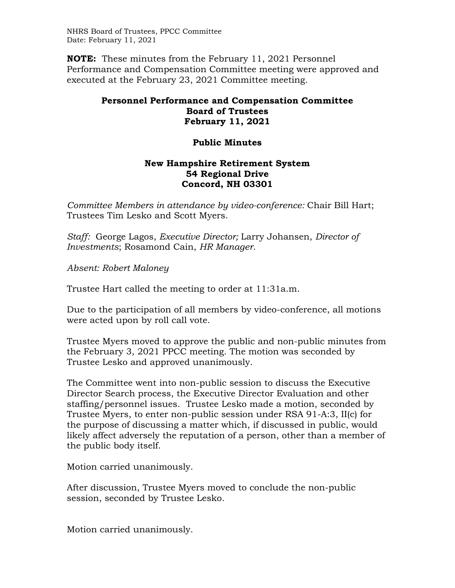NHRS Board of Trustees, PPCC Committee Date: February 11, 2021

**NOTE:** These minutes from the February 11, 2021 Personnel Performance and Compensation Committee meeting were approved and executed at the February 23, 2021 Committee meeting.

## **Personnel Performance and Compensation Committee Board of Trustees February 11, 2021**

## **Public Minutes**

## **New Hampshire Retirement System 54 Regional Drive Concord, NH 03301**

*Committee Members in attendance by video-conference:* Chair Bill Hart; Trustees Tim Lesko and Scott Myers.

*Staff:* George Lagos, *Executive Director;* Larry Johansen, *Director of Investments*; Rosamond Cain, *HR Manager*.

*Absent: Robert Maloney* 

Trustee Hart called the meeting to order at 11:31a.m.

Due to the participation of all members by video-conference, all motions were acted upon by roll call vote.

Trustee Myers moved to approve the public and non-public minutes from the February 3, 2021 PPCC meeting. The motion was seconded by Trustee Lesko and approved unanimously.

The Committee went into non-public session to discuss the Executive Director Search process, the Executive Director Evaluation and other staffing/personnel issues. Trustee Lesko made a motion, seconded by Trustee Myers, to enter non-public session under RSA 91-A:3, II(c) for the purpose of discussing a matter which, if discussed in public, would likely affect adversely the reputation of a person, other than a member of the public body itself.

Motion carried unanimously.

After discussion, Trustee Myers moved to conclude the non-public session, seconded by Trustee Lesko.

Motion carried unanimously.